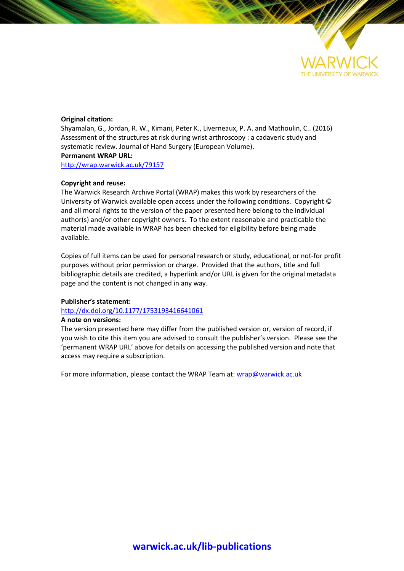

## **Original citation:**

Shyamalan, G., Jordan, R. W., Kimani, Peter K., Liverneaux, P. A. and Mathoulin, C.. (2016) Assessment of the structures at risk during wrist arthroscopy : a cadaveric study and systematic review. Journal of Hand Surgery (European Volume). **Permanent WRAP URL:**

<http://wrap.warwick.ac.uk/79157>

### **Copyright and reuse:**

The Warwick Research Archive Portal (WRAP) makes this work by researchers of the University of Warwick available open access under the following conditions. Copyright © and all moral rights to the version of the paper presented here belong to the individual author(s) and/or other copyright owners. To the extent reasonable and practicable the material made available in WRAP has been checked for eligibility before being made available.

Copies of full items can be used for personal research or study, educational, or not-for profit purposes without prior permission or charge. Provided that the authors, title and full bibliographic details are credited, a hyperlink and/or URL is given for the original metadata page and the content is not changed in any way.

### **Publisher's statement:**

# <http://dx.doi.org/10.1177/1753193416641061>

#### **A note on versions:**

The version presented here may differ from the published version or, version of record, if you wish to cite this item you are advised to consult the publisher's version. Please see the 'permanent WRAP URL' above for details on accessing the published version and note that access may require a subscription.

For more information, please contact the WRAP Team at[: wrap@warwick.ac.uk](mailto:wrap@warwick.ac.uk)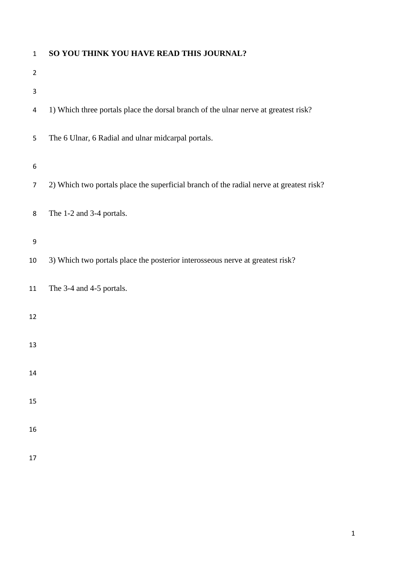| $\mathbf 1$    | SO YOU THINK YOU HAVE READ THIS JOURNAL?                                                |
|----------------|-----------------------------------------------------------------------------------------|
| $\overline{2}$ |                                                                                         |
| 3              |                                                                                         |
| 4              | 1) Which three portals place the dorsal branch of the ulnar nerve at greatest risk?     |
| 5              | The 6 Ulnar, 6 Radial and ulnar midcarpal portals.                                      |
| 6              |                                                                                         |
| $\overline{7}$ | 2) Which two portals place the superficial branch of the radial nerve at greatest risk? |
| 8              | The 1-2 and 3-4 portals.                                                                |
| 9              |                                                                                         |
| 10             | 3) Which two portals place the posterior interosseous nerve at greatest risk?           |
| 11             | The 3-4 and 4-5 portals.                                                                |
| 12             |                                                                                         |
| 13             |                                                                                         |
| 14             |                                                                                         |
| 15             |                                                                                         |
| 16             |                                                                                         |
| 17             |                                                                                         |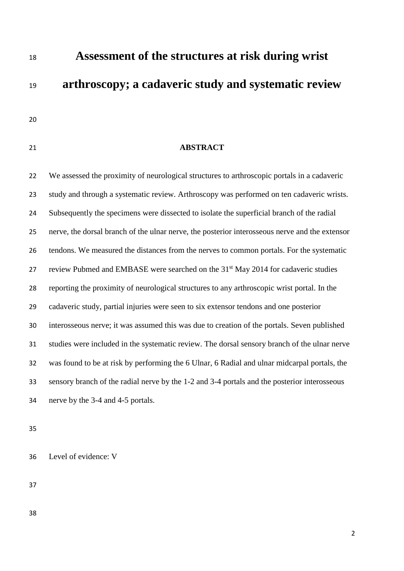**Assessment of the structures at risk during wrist arthroscopy; a cadaveric study and systematic review**

# **ABSTRACT**

 We assessed the proximity of neurological structures to arthroscopic portals in a cadaveric study and through a systematic review. Arthroscopy was performed on ten cadaveric wrists. Subsequently the specimens were dissected to isolate the superficial branch of the radial nerve, the dorsal branch of the ulnar nerve, the posterior interosseous nerve and the extensor tendons. We measured the distances from the nerves to common portals. For the systematic 27 review Pubmed and EMBASE were searched on the  $31<sup>st</sup>$  May 2014 for cadaveric studies reporting the proximity of neurological structures to any arthroscopic wrist portal. In the cadaveric study, partial injuries were seen to six extensor tendons and one posterior interosseous nerve; it was assumed this was due to creation of the portals. Seven published studies were included in the systematic review. The dorsal sensory branch of the ulnar nerve was found to be at risk by performing the 6 Ulnar, 6 Radial and ulnar midcarpal portals, the sensory branch of the radial nerve by the 1-2 and 3-4 portals and the posterior interosseous nerve by the 3-4 and 4-5 portals.

Level of evidence: V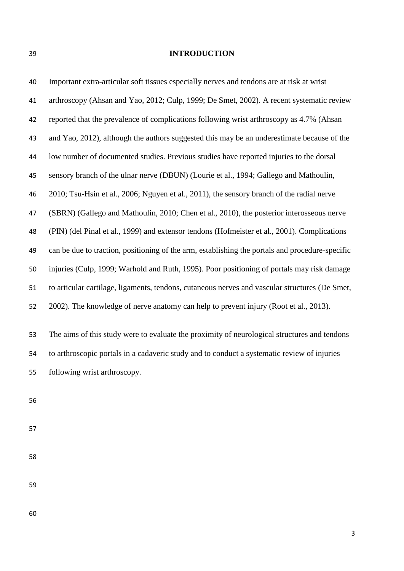# **INTRODUCTION**

| 40 | Important extra-articular soft tissues especially nerves and tendons are at risk at wrist       |
|----|-------------------------------------------------------------------------------------------------|
| 41 | arthroscopy (Ahsan and Yao, 2012; Culp, 1999; De Smet, 2002). A recent systematic review        |
| 42 | reported that the prevalence of complications following wrist arthroscopy as 4.7% (Ahsan        |
| 43 | and Yao, 2012), although the authors suggested this may be an underestimate because of the      |
| 44 | low number of documented studies. Previous studies have reported injuries to the dorsal         |
| 45 | sensory branch of the ulnar nerve (DBUN) (Lourie et al., 1994; Gallego and Mathoulin,           |
| 46 | 2010; Tsu-Hsin et al., 2006; Nguyen et al., 2011), the sensory branch of the radial nerve       |
| 47 | (SBRN) (Gallego and Mathoulin, 2010; Chen et al., 2010), the posterior interosseous nerve       |
| 48 | (PIN) (del Pinal et al., 1999) and extensor tendons (Hofmeister et al., 2001). Complications    |
| 49 | can be due to traction, positioning of the arm, establishing the portals and procedure-specific |
| 50 | injuries (Culp, 1999; Warhold and Ruth, 1995). Poor positioning of portals may risk damage      |
| 51 | to articular cartilage, ligaments, tendons, cutaneous nerves and vascular structures (De Smet,  |
| 52 | 2002). The knowledge of nerve anatomy can help to prevent injury (Root et al., 2013).           |
| 53 | The aims of this study were to evaluate the proximity of neurological structures and tendons    |
| 54 | to arthroscopic portals in a cadaveric study and to conduct a systematic review of injuries     |
| 55 | following wrist arthroscopy.                                                                    |
| 56 |                                                                                                 |
| 57 |                                                                                                 |

- 
-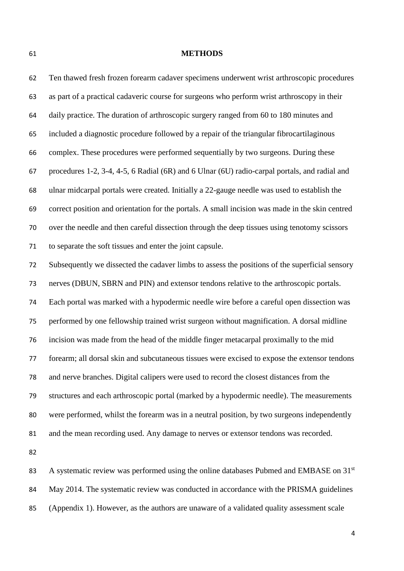#### **METHODS**

 Ten thawed fresh frozen forearm cadaver specimens underwent wrist arthroscopic procedures as part of a practical cadaveric course for surgeons who perform wrist arthroscopy in their daily practice. The duration of arthroscopic surgery ranged from 60 to 180 minutes and included a diagnostic procedure followed by a repair of the triangular fibrocartilaginous complex. These procedures were performed sequentially by two surgeons. During these procedures 1-2, 3-4, 4-5, 6 Radial (6R) and 6 Ulnar (6U) radio-carpal portals, and radial and ulnar midcarpal portals were created. Initially a 22-gauge needle was used to establish the correct position and orientation for the portals. A small incision was made in the skin centred over the needle and then careful dissection through the deep tissues using tenotomy scissors to separate the soft tissues and enter the joint capsule. Subsequently we dissected the cadaver limbs to assess the positions of the superficial sensory nerves (DBUN, SBRN and PIN) and extensor tendons relative to the arthroscopic portals. Each portal was marked with a hypodermic needle wire before a careful open dissection was performed by one fellowship trained wrist surgeon without magnification. A dorsal midline incision was made from the head of the middle finger metacarpal proximally to the mid forearm; all dorsal skin and subcutaneous tissues were excised to expose the extensor tendons and nerve branches. Digital calipers were used to record the closest distances from the structures and each arthroscopic portal (marked by a hypodermic needle). The measurements were performed, whilst the forearm was in a neutral position, by two surgeons independently and the mean recording used. Any damage to nerves or extensor tendons was recorded.

83 A systematic review was performed using the online databases Pubmed and EMBASE on 31<sup>st</sup> May 2014. The systematic review was conducted in accordance with the PRISMA guidelines (Appendix 1). However, as the authors are unaware of a validated quality assessment scale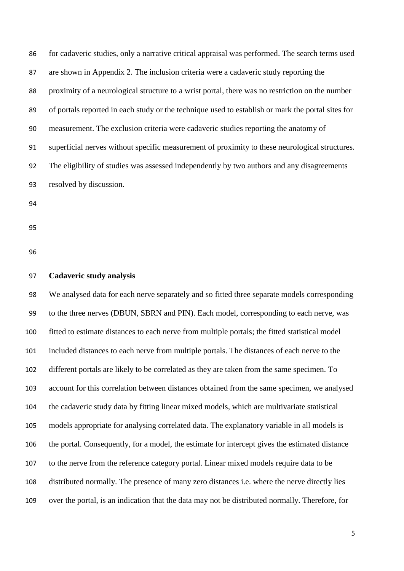for cadaveric studies, only a narrative critical appraisal was performed. The search terms used are shown in Appendix 2. The inclusion criteria were a cadaveric study reporting the proximity of a neurological structure to a wrist portal, there was no restriction on the number of portals reported in each study or the technique used to establish or mark the portal sites for measurement. The exclusion criteria were cadaveric studies reporting the anatomy of superficial nerves without specific measurement of proximity to these neurological structures. The eligibility of studies was assessed independently by two authors and any disagreements resolved by discussion. 

## **Cadaveric study analysis**

 We analysed data for each nerve separately and so fitted three separate models corresponding to the three nerves (DBUN, SBRN and PIN). Each model, corresponding to each nerve, was fitted to estimate distances to each nerve from multiple portals; the fitted statistical model included distances to each nerve from multiple portals. The distances of each nerve to the different portals are likely to be correlated as they are taken from the same specimen. To account for this correlation between distances obtained from the same specimen, we analysed the cadaveric study data by fitting linear mixed models, which are multivariate statistical models appropriate for analysing correlated data. The explanatory variable in all models is the portal. Consequently, for a model, the estimate for intercept gives the estimated distance to the nerve from the reference category portal. Linear mixed models require data to be distributed normally. The presence of many zero distances i.e. where the nerve directly lies over the portal, is an indication that the data may not be distributed normally. Therefore, for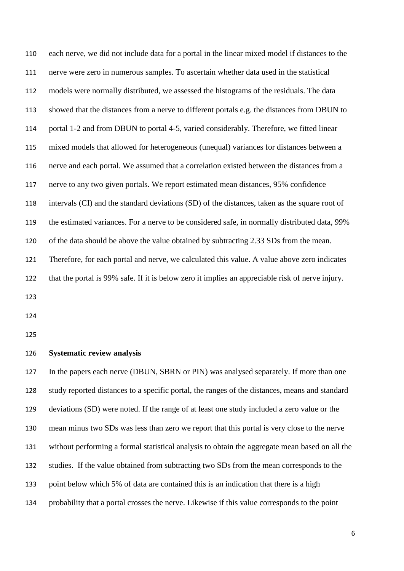| 110 | each nerve, we did not include data for a portal in the linear mixed model if distances to the   |
|-----|--------------------------------------------------------------------------------------------------|
| 111 | nerve were zero in numerous samples. To ascertain whether data used in the statistical           |
| 112 | models were normally distributed, we assessed the histograms of the residuals. The data          |
| 113 | showed that the distances from a nerve to different portals e.g. the distances from DBUN to      |
| 114 | portal 1-2 and from DBUN to portal 4-5, varied considerably. Therefore, we fitted linear         |
| 115 | mixed models that allowed for heterogeneous (unequal) variances for distances between a          |
| 116 | nerve and each portal. We assumed that a correlation existed between the distances from a        |
| 117 | nerve to any two given portals. We report estimated mean distances, 95% confidence               |
| 118 | intervals (CI) and the standard deviations (SD) of the distances, taken as the square root of    |
| 119 | the estimated variances. For a nerve to be considered safe, in normally distributed data, 99%    |
| 120 | of the data should be above the value obtained by subtracting 2.33 SDs from the mean.            |
| 121 | Therefore, for each portal and nerve, we calculated this value. A value above zero indicates     |
| 122 | that the portal is 99% safe. If it is below zero it implies an appreciable risk of nerve injury. |
| 123 |                                                                                                  |

# **Systematic review analysis**

 In the papers each nerve (DBUN, SBRN or PIN) was analysed separately. If more than one study reported distances to a specific portal, the ranges of the distances, means and standard deviations (SD) were noted. If the range of at least one study included a zero value or the mean minus two SDs was less than zero we report that this portal is very close to the nerve without performing a formal statistical analysis to obtain the aggregate mean based on all the studies. If the value obtained from subtracting two SDs from the mean corresponds to the point below which 5% of data are contained this is an indication that there is a high probability that a portal crosses the nerve. Likewise if this value corresponds to the point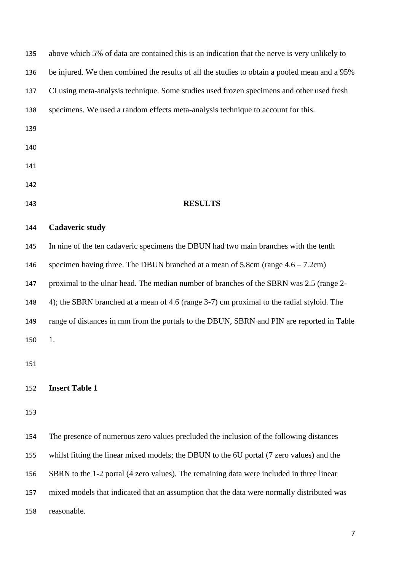| 135 | above which 5% of data are contained this is an indication that the nerve is very unlikely to |
|-----|-----------------------------------------------------------------------------------------------|
| 136 | be injured. We then combined the results of all the studies to obtain a pooled mean and a 95% |
| 137 | CI using meta-analysis technique. Some studies used frozen specimens and other used fresh     |
| 138 | specimens. We used a random effects meta-analysis technique to account for this.              |
| 139 |                                                                                               |
| 140 |                                                                                               |
| 141 |                                                                                               |
| 142 |                                                                                               |
| 143 | <b>RESULTS</b>                                                                                |
| 144 | <b>Cadaveric study</b>                                                                        |
| 145 | In nine of the ten cadaveric specimens the DBUN had two main branches with the tenth          |
| 146 | specimen having three. The DBUN branched at a mean of $5.8cm$ (range $4.6 - 7.2cm$ )          |
| 147 | proximal to the ulnar head. The median number of branches of the SBRN was 2.5 (range 2-       |
| 148 | 4); the SBRN branched at a mean of 4.6 (range 3-7) cm proximal to the radial styloid. The     |
| 149 | range of distances in mm from the portals to the DBUN, SBRN and PIN are reported in Table     |
| 150 | 1.                                                                                            |
| 151 |                                                                                               |
|     |                                                                                               |
| 152 | <b>Insert Table 1</b>                                                                         |
| 153 |                                                                                               |
| 154 | The presence of numerous zero values precluded the inclusion of the following distances       |
| 155 | whilst fitting the linear mixed models; the DBUN to the 6U portal (7 zero values) and the     |
| 156 | SBRN to the 1-2 portal (4 zero values). The remaining data were included in three linear      |
| 157 | mixed models that indicated that an assumption that the data were normally distributed was    |
| 158 | reasonable.                                                                                   |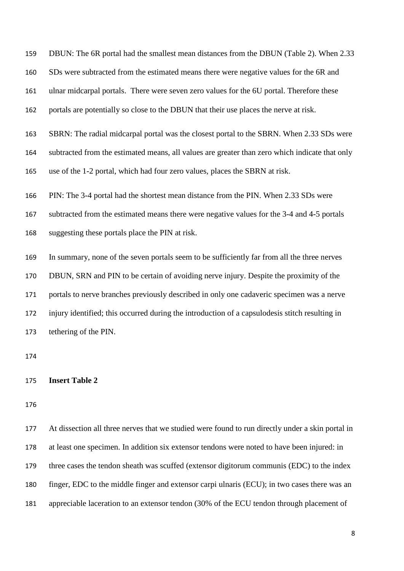DBUN: The 6R portal had the smallest mean distances from the DBUN (Table 2). When 2.33 SDs were subtracted from the estimated means there were negative values for the 6R and ulnar midcarpal portals. There were seven zero values for the 6U portal. Therefore these portals are potentially so close to the DBUN that their use places the nerve at risk. SBRN: The radial midcarpal portal was the closest portal to the SBRN. When 2.33 SDs were subtracted from the estimated means, all values are greater than zero which indicate that only use of the 1-2 portal, which had four zero values, places the SBRN at risk. PIN: The 3-4 portal had the shortest mean distance from the PIN. When 2.33 SDs were subtracted from the estimated means there were negative values for the 3-4 and 4-5 portals suggesting these portals place the PIN at risk. In summary, none of the seven portals seem to be sufficiently far from all the three nerves DBUN, SRN and PIN to be certain of avoiding nerve injury. Despite the proximity of the

 portals to nerve branches previously described in only one cadaveric specimen was a nerve injury identified; this occurred during the introduction of a capsulodesis stitch resulting in tethering of the PIN.

## **Insert Table 2**

 At dissection all three nerves that we studied were found to run directly under a skin portal in at least one specimen. In addition six extensor tendons were noted to have been injured: in three cases the tendon sheath was scuffed (extensor digitorum communis (EDC) to the index finger, EDC to the middle finger and extensor carpi ulnaris (ECU); in two cases there was an appreciable laceration to an extensor tendon (30% of the ECU tendon through placement of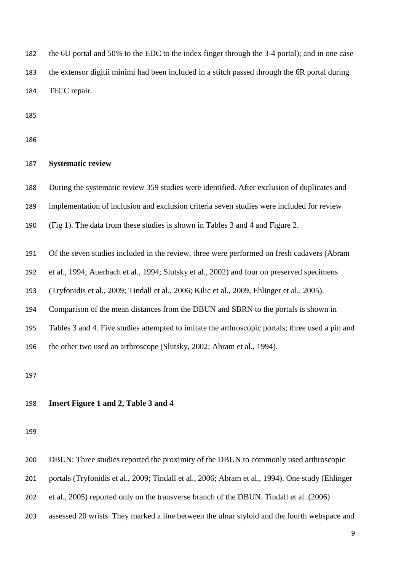the 6U portal and 50% to the EDC to the index finger through the 3-4 portal); and in one case the extensor digitii minimi had been included in a stitch passed through the 6R portal during TFCC repair.

# **Systematic review**

During the systematic review 359 studies were identified. After exclusion of duplicates and

implementation of inclusion and exclusion criteria seven studies were included for review

(Fig 1). The data from these studies is shown in Tables 3 and 4 and Figure 2.

Of the seven studies included in the review, three were performed on fresh cadavers (Abram

et al., 1994; Auerbach et al., 1994; Slutsky et al., 2002) and four on preserved specimens

(Tryfonidis et al., 2009; Tindall et al., 2006; Kilic et al., 2009, Ehlinger et al., 2005).

Comparison of the mean distances from the DBUN and SBRN to the portals is shown in

Tables 3 and 4. Five studies attempted to imitate the arthroscopic portals; three used a pin and

the other two used an arthroscope (Slutsky, 2002; Abram et al., 1994).

## **Insert Figure 1 and 2, Table 3 and 4**

DBUN: Three studies reported the proximity of the DBUN to commonly used arthroscopic

portals (Tryfonidis et al., 2009; Tindall et al., 2006; Abram et al., 1994). One study (Ehlinger

et al., 2005) reported only on the transverse branch of the DBUN. Tindall et al. (2006)

assessed 20 wrists. They marked a line between the ulnar styloid and the fourth webspace and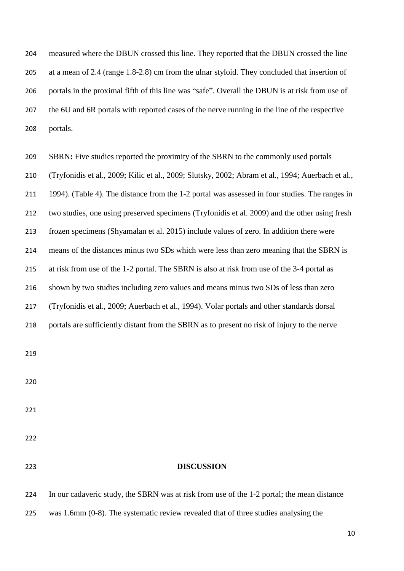measured where the DBUN crossed this line. They reported that the DBUN crossed the line at a mean of 2.4 (range 1.8-2.8) cm from the ulnar styloid. They concluded that insertion of portals in the proximal fifth of this line was "safe". Overall the DBUN is at risk from use of the 6U and 6R portals with reported cases of the nerve running in the line of the respective portals.

 SBRN**:** Five studies reported the proximity of the SBRN to the commonly used portals (Tryfonidis et al., 2009; Kilic et al., 2009; Slutsky, 2002; Abram et al., 1994; Auerbach et al., 1994). (Table 4). The distance from the 1-2 portal was assessed in four studies. The ranges in two studies, one using preserved specimens (Tryfonidis et al. 2009) and the other using fresh frozen specimens (Shyamalan et al. 2015) include values of zero. In addition there were means of the distances minus two SDs which were less than zero meaning that the SBRN is at risk from use of the 1-2 portal. The SBRN is also at risk from use of the 3-4 portal as shown by two studies including zero values and means minus two SDs of less than zero (Tryfonidis et al., 2009; Auerbach et al., 1994). Volar portals and other standards dorsal portals are sufficiently distant from the SBRN as to present no risk of injury to the nerve **DISCUSSION**

 In our cadaveric study, the SBRN was at risk from use of the 1-2 portal; the mean distance was 1.6mm (0-8). The systematic review revealed that of three studies analysing the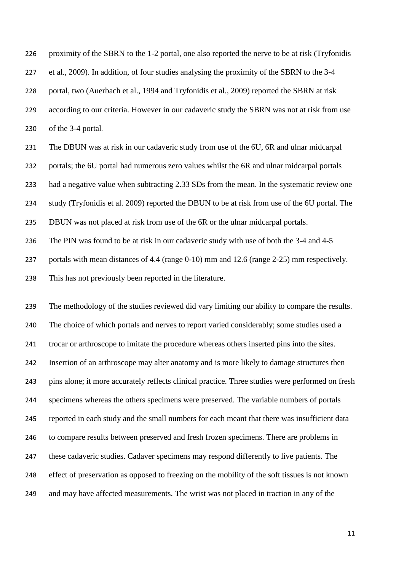proximity of the SBRN to the 1-2 portal, one also reported the nerve to be at risk (Tryfonidis et al., 2009). In addition, of four studies analysing the proximity of the SBRN to the 3-4 portal, two (Auerbach et al., 1994 and Tryfonidis et al., 2009) reported the SBRN at risk according to our criteria. However in our cadaveric study the SBRN was not at risk from use of the 3-4 portal.

 The DBUN was at risk in our cadaveric study from use of the 6U, 6R and ulnar midcarpal portals; the 6U portal had numerous zero values whilst the 6R and ulnar midcarpal portals had a negative value when subtracting 2.33 SDs from the mean. In the systematic review one study (Tryfonidis et al. 2009) reported the DBUN to be at risk from use of the 6U portal. The DBUN was not placed at risk from use of the 6R or the ulnar midcarpal portals. The PIN was found to be at risk in our cadaveric study with use of both the 3-4 and 4-5

portals with mean distances of 4.4 (range 0-10) mm and 12.6 (range 2-25) mm respectively.

This has not previously been reported in the literature.

 The methodology of the studies reviewed did vary limiting our ability to compare the results. The choice of which portals and nerves to report varied considerably; some studies used a trocar or arthroscope to imitate the procedure whereas others inserted pins into the sites. Insertion of an arthroscope may alter anatomy and is more likely to damage structures then pins alone; it more accurately reflects clinical practice. Three studies were performed on fresh specimens whereas the others specimens were preserved. The variable numbers of portals reported in each study and the small numbers for each meant that there was insufficient data to compare results between preserved and fresh frozen specimens. There are problems in these cadaveric studies. Cadaver specimens may respond differently to live patients. The effect of preservation as opposed to freezing on the mobility of the soft tissues is not known and may have affected measurements. The wrist was not placed in traction in any of the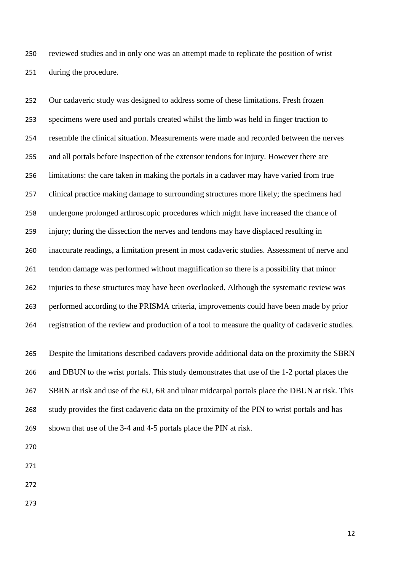reviewed studies and in only one was an attempt made to replicate the position of wrist during the procedure.

 Our cadaveric study was designed to address some of these limitations. Fresh frozen specimens were used and portals created whilst the limb was held in finger traction to resemble the clinical situation. Measurements were made and recorded between the nerves and all portals before inspection of the extensor tendons for injury. However there are limitations: the care taken in making the portals in a cadaver may have varied from true clinical practice making damage to surrounding structures more likely; the specimens had undergone prolonged arthroscopic procedures which might have increased the chance of injury; during the dissection the nerves and tendons may have displaced resulting in inaccurate readings, a limitation present in most cadaveric studies. Assessment of nerve and tendon damage was performed without magnification so there is a possibility that minor injuries to these structures may have been overlooked. Although the systematic review was performed according to the PRISMA criteria, improvements could have been made by prior registration of the review and production of a tool to measure the quality of cadaveric studies.

 Despite the limitations described cadavers provide additional data on the proximity the SBRN and DBUN to the wrist portals. This study demonstrates that use of the 1-2 portal places the SBRN at risk and use of the 6U, 6R and ulnar midcarpal portals place the DBUN at risk. This study provides the first cadaveric data on the proximity of the PIN to wrist portals and has shown that use of the 3-4 and 4-5 portals place the PIN at risk.

- 
- 
-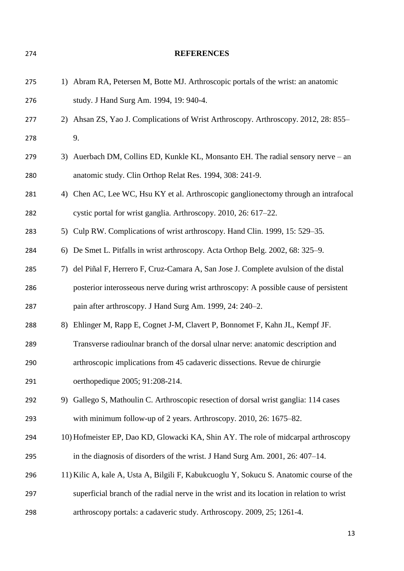1) Abram RA, Petersen M, Botte MJ. Arthroscopic portals of the wrist: an anatomic study. J Hand Surg Am. 1994, 19: 940-4. 2) Ahsan ZS, Yao J. Complications of Wrist Arthroscopy. Arthroscopy. 2012, 28: 855– 9. 3) Auerbach DM, Collins ED, Kunkle KL, Monsanto EH. The radial sensory nerve – an anatomic study. Clin Orthop Relat Res. 1994, 308: 241-9. 281 4) Chen AC, Lee WC, Hsu KY et al. Arthroscopic ganglionectomy through an intrafocal cystic portal for wrist ganglia. Arthroscopy. 2010, 26: 617–22. 5) Culp RW. Complications of wrist arthroscopy. Hand Clin. 1999, 15: 529–35. 6) De Smet L. Pitfalls in wrist arthroscopy. Acta Orthop Belg. 2002, 68: 325–9. 7) del Piñal F, Herrero F, Cruz-Camara A, San Jose J. Complete avulsion of the distal posterior interosseous nerve during wrist arthroscopy: A possible cause of persistent pain after arthroscopy. J Hand Surg Am. 1999, 24: 240–2. 8) Ehlinger M, Rapp E, Cognet J-M, Clavert P, Bonnomet F, Kahn JL, Kempf JF. Transverse radioulnar branch of the dorsal ulnar nerve: anatomic description and arthroscopic implications from 45 cadaveric dissections. Revue de chirurgie oerthopedique 2005; 91:208-214. 9) Gallego S, Mathoulin C. Arthroscopic resection of dorsal wrist ganglia: 114 cases with minimum follow-up of 2 years. Arthroscopy. 2010, 26: 1675–82. 10) Hofmeister EP, Dao KD, Glowacki KA, Shin AY. The role of midcarpal arthroscopy in the diagnosis of disorders of the wrist. J Hand Surg Am. 2001, 26: 407–14. 11) Kilic A, kale A, Usta A, Bilgili F, Kabukcuoglu Y, Sokucu S. Anatomic course of the superficial branch of the radial nerve in the wrist and its location in relation to wrist arthroscopy portals: a cadaveric study. Arthroscopy. 2009, 25; 1261-4.

**REFERENCES**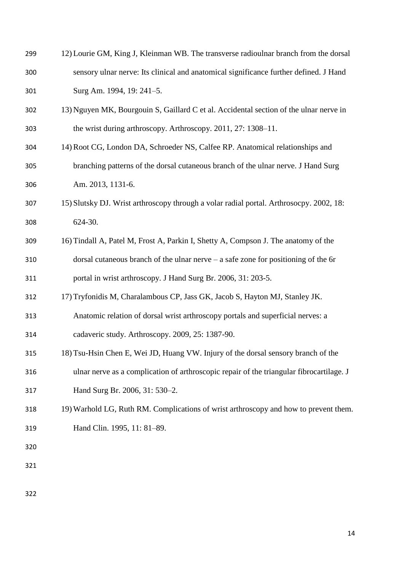| 299 | 12) Lourie GM, King J, Kleinman WB. The transverse radioulnar branch from the dorsal     |
|-----|------------------------------------------------------------------------------------------|
| 300 | sensory ulnar nerve: Its clinical and anatomical significance further defined. J Hand    |
| 301 | Surg Am. 1994, 19: 241-5.                                                                |
| 302 | 13) Nguyen MK, Bourgouin S, Gaillard C et al. Accidental section of the ulnar nerve in   |
| 303 | the wrist during arthroscopy. Arthroscopy. 2011, 27: 1308–11.                            |
| 304 | 14) Root CG, London DA, Schroeder NS, Calfee RP. Anatomical relationships and            |
| 305 | branching patterns of the dorsal cutaneous branch of the ulnar nerve. J Hand Surg        |
| 306 | Am. 2013, 1131-6.                                                                        |
| 307 | 15) Slutsky DJ. Wrist arthroscopy through a volar radial portal. Arthrosocpy. 2002, 18:  |
| 308 | 624-30.                                                                                  |
| 309 | 16) Tindall A, Patel M, Frost A, Parkin I, Shetty A, Compson J. The anatomy of the       |
| 310 | dorsal cutaneous branch of the ulnar nerve $-$ a safe zone for positioning of the 6r     |
| 311 | portal in wrist arthroscopy. J Hand Surg Br. 2006, 31: 203-5.                            |
| 312 | 17) Tryfonidis M, Charalambous CP, Jass GK, Jacob S, Hayton MJ, Stanley JK.              |
| 313 | Anatomic relation of dorsal wrist arthroscopy portals and superficial nerves: a          |
| 314 | cadaveric study. Arthroscopy. 2009, 25: 1387-90.                                         |
| 315 | 18) Tsu-Hsin Chen E, Wei JD, Huang VW. Injury of the dorsal sensory branch of the        |
| 316 | ulnar nerve as a complication of arthroscopic repair of the triangular fibrocartilage. J |
| 317 | Hand Surg Br. 2006, 31: 530-2.                                                           |
| 318 | 19) Warhold LG, Ruth RM. Complications of wrist arthroscopy and how to prevent them.     |
| 319 | Hand Clin. 1995, 11: 81-89.                                                              |
| 320 |                                                                                          |
| 321 |                                                                                          |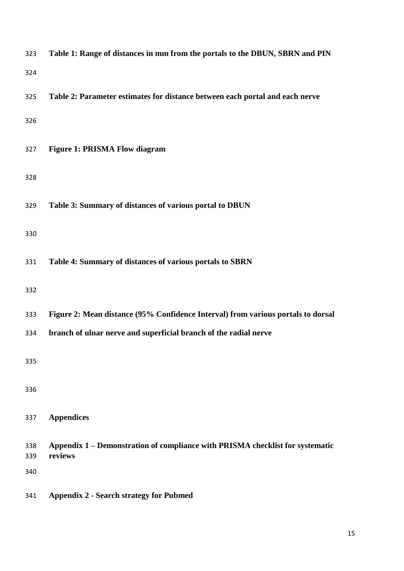| 323        | Table 1: Range of distances in mm from the portals to the DBUN, SBRN and PIN             |
|------------|------------------------------------------------------------------------------------------|
| 324        |                                                                                          |
| 325        | Table 2: Parameter estimates for distance between each portal and each nerve             |
| 326        |                                                                                          |
| 327        | <b>Figure 1: PRISMA Flow diagram</b>                                                     |
| 328        |                                                                                          |
| 329        | Table 3: Summary of distances of various portal to DBUN                                  |
| 330        |                                                                                          |
| 331        | Table 4: Summary of distances of various portals to SBRN                                 |
| 332        |                                                                                          |
| 333        | Figure 2: Mean distance (95% Confidence Interval) from various portals to dorsal         |
| 334        | branch of ulnar nerve and superficial branch of the radial nerve                         |
| 335        |                                                                                          |
| 336        |                                                                                          |
| 337        | <b>Appendices</b>                                                                        |
| 338<br>339 | Appendix 1 – Demonstration of compliance with PRISMA checklist for systematic<br>reviews |
| 340        |                                                                                          |
| 341        | <b>Appendix 2 - Search strategy for Pubmed</b>                                           |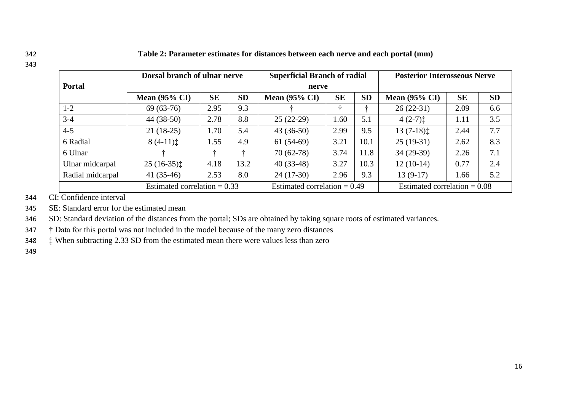342 **Table 2: Parameter estimates for distances between each nerve and each portal (mm)**

|                  | <b>Dorsal branch of ulnar nerve</b> | <b>Superficial Branch of radial</b> |           |                                | <b>Posterior Interosseous Nerve</b> |           |                                |           |           |
|------------------|-------------------------------------|-------------------------------------|-----------|--------------------------------|-------------------------------------|-----------|--------------------------------|-----------|-----------|
| <b>Portal</b>    |                                     |                                     |           | nerve                          |                                     |           |                                |           |           |
|                  | Mean $(95\% \text{ CI})$            | <b>SE</b>                           | <b>SD</b> | Mean $(95\% \text{ CI})$       | <b>SE</b>                           | <b>SD</b> | <b>Mean (95% CI)</b>           | <b>SE</b> | <b>SD</b> |
| $1 - 2$          | $69(63-76)$                         | 2.95                                | 9.3       |                                |                                     |           | $26(22-31)$                    | 2.09      | 6.6       |
| $3-4$            | $44(38-50)$                         | 2.78                                | 8.8       | $25(22-29)$                    | 1.60                                | 5.1       | $4(2-7)$ :                     | 1.11      | 3.5       |
| $4 - 5$          | $21(18-25)$                         | 1.70                                | 5.4       | $43(36-50)$                    | 2.99                                | 9.5       | $13(7-18)$ :                   | 2.44      | 7.7       |
| 6 Radial         | $8(4-11)$                           | 1.55                                | 4.9       | $61(54-69)$                    | 3.21                                | 10.1      | $25(19-31)$                    | 2.62      | 8.3       |
| 6 Ulnar          |                                     | ÷                                   |           | $70(62-78)$                    | 3.74                                | 11.8      | $34(29-39)$                    | 2.26      | 7.1       |
| Ulnar midcarpal  | $25(16-35)$                         | 4.18                                | 13.2      | $40(33-48)$                    | 3.27                                | 10.3      | $12(10-14)$                    | 0.77      | 2.4       |
| Radial midcarpal | $41(35-46)$                         | 2.53                                | 8.0       | $24(17-30)$                    | 2.96                                | 9.3       | $13(9-17)$                     | 1.66      | 5.2       |
|                  | Estimated correlation $= 0.33$      |                                     |           | Estimated correlation $= 0.49$ |                                     |           | Estimated correlation $= 0.08$ |           |           |

344 CI: Confidence interval

345 SE: Standard error for the estimated mean

346 SD: Standard deviation of the distances from the portal; SDs are obtained by taking square roots of estimated variances.

347 † Data for this portal was not included in the model because of the many zero distances

348 ‡ When subtracting 2.33 SD from the estimated mean there were values less than zero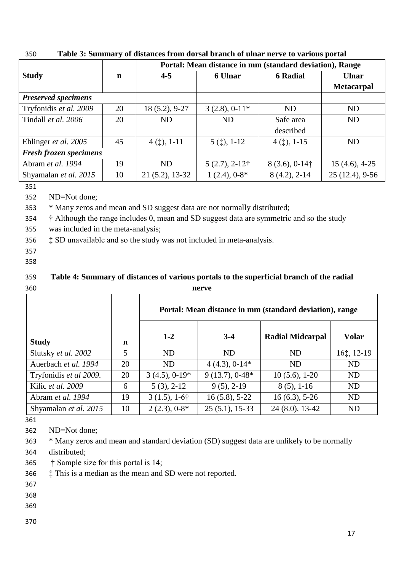|                               |    | Portal: Mean distance in mm (standard deviation), Range |                          |                       |                   |  |  |  |
|-------------------------------|----|---------------------------------------------------------|--------------------------|-----------------------|-------------------|--|--|--|
| <b>Study</b>                  | n  | $4 - 5$                                                 | 6 Ulnar                  | <b>6 Radial</b>       | <b>Ulnar</b>      |  |  |  |
|                               |    |                                                         |                          |                       | <b>Metacarpal</b> |  |  |  |
| <b>Preserved specimens</b>    |    |                                                         |                          |                       |                   |  |  |  |
| Tryfonidis et al. 2009<br>20  |    | 18 (5.2), 9-27                                          | $3(2.8), 0.11*$          | <b>ND</b>             | <b>ND</b>         |  |  |  |
| Tindall et al. 2006           | 20 | ND                                                      | <b>ND</b>                | Safe area             | <b>ND</b>         |  |  |  |
|                               |    |                                                         |                          | described             |                   |  |  |  |
| Ehlinger et al. 2005<br>45    |    | $4$ (†), 1-11                                           | $5$ ( $\ddagger$ ), 1-12 | $4$ (†), 1-15         | <b>ND</b>         |  |  |  |
| <b>Fresh frozen specimens</b> |    |                                                         |                          |                       |                   |  |  |  |
| Abram et al. 1994             | 19 | <b>ND</b>                                               | $5(2.7), 2-12\dagger$    | $8(3.6), 0.14\dagger$ | $15(4.6), 4-25$   |  |  |  |
| 10<br>Shyamalan et al. 2015   |    | $21(5.2), 13-32$                                        | $1(2.4), 0-8*$           | $8(4.2), 2-14$        | $25(12.4), 9-56$  |  |  |  |

350 **Table 3: Summary of distances from dorsal branch of ulnar nerve to various portal** 

352 ND=Not done;

353 \* Many zeros and mean and SD suggest data are not normally distributed;

354 † Although the range includes 0, mean and SD suggest data are symmetric and so the study

355 was included in the meta-analysis;

356 ‡ SD unavailable and so the study was not included in meta-analysis.

- 357
- 358

# 359 **Table 4: Summary of distances of various portals to the superficial branch of the radial**  360 **nerve**

|                        |    | Portal: Mean distance in mm (standard deviation), range |                  |                         |                                               |  |  |  |  |  |  |
|------------------------|----|---------------------------------------------------------|------------------|-------------------------|-----------------------------------------------|--|--|--|--|--|--|
| <b>Study</b>           | n  | $1 - 2$                                                 | $3-4$            | <b>Radial Midcarpal</b> | <b>Volar</b>                                  |  |  |  |  |  |  |
| Slutsky et al. 2002    | 5  | <b>ND</b>                                               | <b>ND</b>        | <b>ND</b>               | $16$ <sup><math>\ddagger</math></sup> , 12-19 |  |  |  |  |  |  |
| Auerbach et al. 1994   | 20 | <b>ND</b>                                               | $4(4.3), 0.14*$  | <b>ND</b>               | <b>ND</b>                                     |  |  |  |  |  |  |
| Tryfonidis et al 2009. | 20 | $3(4.5), 0.19*$                                         | $9(13.7), 0.48*$ | $10(5.6), 1-20$         | <b>ND</b>                                     |  |  |  |  |  |  |
| Kilic et al. 2009      | 6  | $5(3), 2-12$                                            | $9(5)$ , 2-19    | $8(5)$ , 1-16           | <b>ND</b>                                     |  |  |  |  |  |  |
| Abram et al. 1994      | 19 | $3(1.5), 1-6\dagger$                                    | $16(5.8), 5-22$  | $16(6.3), 5-26$         | <b>ND</b>                                     |  |  |  |  |  |  |
| Shyamalan et al. 2015  | 10 | $2(2.3), 0.8*$                                          | $25(5.1), 15-33$ | $24(8.0), 13-42$        | <b>ND</b>                                     |  |  |  |  |  |  |

361

362 ND=Not done;

363 \* Many zeros and mean and standard deviation (SD) suggest data are unlikely to be normally 364 distributed;

365 † Sample size for this portal is 14;

366 ‡ This is a median as the mean and SD were not reported.

367

368

369